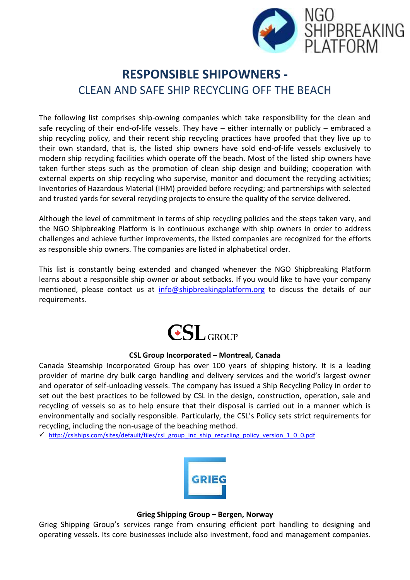

# **RESPONSIBLE SHIPOWNERS -** CLEAN AND SAFE SHIP RECYCLING OFF THE BEACH

The following list comprises ship-owning companies which take responsibility for the clean and safe recycling of their end-of-life vessels. They have – either internally or publicly – embraced a ship recycling policy, and their recent ship recycling practices have proofed that they live up to their own standard, that is, the listed ship owners have sold end-of-life vessels exclusively to modern ship recycling facilities which operate off the beach. Most of the listed ship owners have taken further steps such as the promotion of clean ship design and building; cooperation with external experts on ship recycling who supervise, monitor and document the recycling activities; Inventories of Hazardous Material (IHM) provided before recycling; and partnerships with selected and trusted yards for several recycling projects to ensure the quality of the service delivered.

Although the level of commitment in terms of ship recycling policies and the steps taken vary, and the NGO Shipbreaking Platform is in continuous exchange with ship owners in order to address challenges and achieve further improvements, the listed companies are recognized for the efforts as responsible ship owners. The companies are listed in alphabetical order.

This list is constantly being extended and changed whenever the NGO Shipbreaking Platform learns about a responsible ship owner or about setbacks. If you would like to have your company mentioned, please contact us at [info@shipbreakingplatform.org](mailto:info@shipbreakingplatform.org) to discuss the details of our requirements.



## **CSL Group Incorporated – Montreal, Canada**

Canada Steamship Incorporated Group has over 100 years of shipping history. It is a leading provider of marine dry bulk cargo handling and delivery services and the world's largest owner and operator of self-unloading vessels. The company has issued a Ship Recycling Policy in order to set out the best practices to be followed by CSL in the design, construction, operation, sale and recycling of vessels so as to help ensure that their disposal is carried out in a manner which is environmentally and socially responsible. Particularly, the CSL's Policy sets strict requirements for recycling, including the non-usage of the beaching method.

 $\checkmark$  [http://cslships.com/sites/default/files/csl\\_group\\_inc\\_ship\\_recycling\\_policy\\_version\\_1\\_0\\_0.pdf](http://cslships.com/sites/default/files/csl_group_inc_ship_recycling_policy_version_1_0_0.pdf)



#### **Grieg Shipping Group – Bergen, Norway**

Grieg Shipping Group's services range from ensuring efficient port handling to designing and operating vessels. Its core businesses include also investment, food and management companies.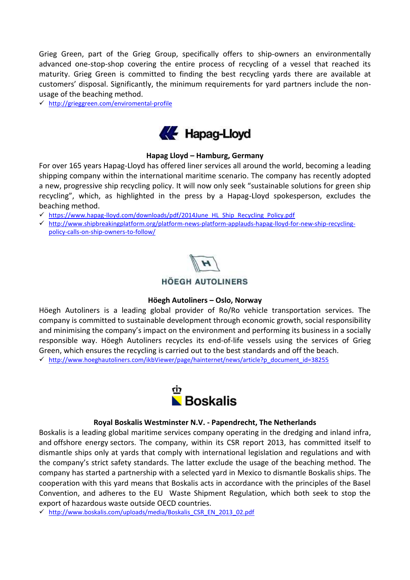Grieg Green, part of the Grieg Group, specifically offers to ship-owners an environmentally advanced one-stop-shop covering the entire process of recycling of a vessel that reached its maturity. Grieg Green is committed to finding the best recycling yards there are available at customers' disposal. Significantly, the minimum requirements for yard partners include the nonusage of the beaching method.

<http://grieggreen.com/enviromental-profile>



## **Hapag Lloyd – Hamburg, Germany**

For over 165 years Hapag-Lloyd has offered liner services all around the world, becoming a leading shipping company within the international maritime scenario. The company has recently adopted a new, progressive ship recycling policy. It will now only seek "sustainable solutions for green ship recycling", which, as highlighted in the press by a Hapag-Lloyd spokesperson, excludes the beaching method.

[https://www.hapag-lloyd.com/downloads/pdf/2014June\\_HL\\_Ship\\_Recycling\\_Policy.pdf](https://www.hapag-lloyd.com/downloads/pdf/2014June_HL_Ship_Recycling_Policy.pdf)

 [http://www.shipbreakingplatform.org/platform-news-platform-applauds-hapag-lloyd-for-new-ship-recycling](http://www.shipbreakingplatform.org/platform-news-platform-applauds-hapag-lloyd-for-new-ship-recycling-policy-calls-on-ship-owners-to-follow/)[policy-calls-on-ship-owners-to-follow/](http://www.shipbreakingplatform.org/platform-news-platform-applauds-hapag-lloyd-for-new-ship-recycling-policy-calls-on-ship-owners-to-follow/)



# **HÖEGH AUTOLINERS**

## **Höegh Autoliners – Oslo, Norway**

Höegh Autoliners is a leading global provider of Ro/Ro vehicle transportation services. The company is committed to sustainable development through economic growth, social responsibility and minimising the company's impact on the [environment](http://www.hoeghautoliners.com/ikbViewer/page/hainternet/ship_management/environment?p_dimension_id=56551) and performing its business in a socially responsible way. Höegh Autoliners recycles its end-of-life vessels using the services of Grieg Green, which ensures the recycling is carried out to the best standards and off the beach. [http://www.hoeghautoliners.com/ikbViewer/page/hainternet/news/article?p\\_document\\_id=38255](http://www.hoeghautoliners.com/ikbViewer/page/hainternet/news/article?p_document_id=38255)



#### **Royal Boskalis Westminster N.V. - Papendrecht, The Netherlands**

Boskalis is a leading global maritime services company operating in the [dredging and inland infra,](http://www.boskalis.com/activities/dredging-inland-infra.html) and [offshore energy](http://www.boskalis.com/activities/offshore-energy.html) sectors. The company, within its CSR report 2013, has committed itself to dismantle ships only at yards that comply with international legislation and regulations and with the company's strict safety standards. The latter exclude the usage of the beaching method. The company has started a partnership with a selected yard in Mexico to dismantle Boskalis ships. The cooperation with this yard means that Boskalis acts in accordance with the principles of the Basel Convention, and adheres to the EU Waste Shipment Regulation, which both seek to stop the export of hazardous waste outside OECD countries.

[http://www.boskalis.com/uploads/media/Boskalis\\_CSR\\_EN\\_2013\\_02.pdf](http://www.boskalis.com/uploads/media/Boskalis_CSR_EN_2013_02.pdf)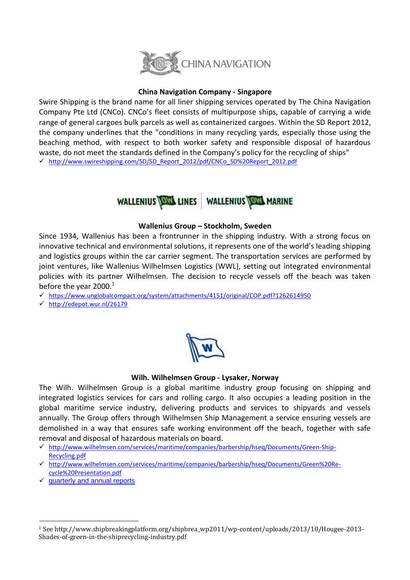

# **China Navigation Company - Singapore**

Swire Shipping is the brand name for all liner shipping services operated by The China Navigation Company Pte Ltd (CNCo). CNCo's fleet consists of multipurpose ships, capable of carrying a wide range of general cargoes bulk parcels as well as containerized cargoes. Within the SD Report 2012, the company underlines that the "conditions in many recycling yards, especially those using the beaching method, with respect to both worker safety and responsible disposal of hazardous waste, do not meet the standards defined in the Company's policy for the recycling of ships" [http://www.swireshipping.com/SD/SD\\_Report\\_2012/pdf/CNCo\\_SD%20Report\\_2012.pdf](http://www.swireshipping.com/SD/SD_Report_2012/pdf/CNCo_SD%20Report_2012.pdf)



#### **Wallenius Group – Stockholm, Sweden**

Since 1934, Wallenius has been a frontrunner in the shipping industry. With a strong focus on innovative technical and environmental solutions, it represents one of the world's leading shipping and logistics groups within the car carrier segment. The transportation services are performed by joint ventures, like [Wallenius Wilhelmsen Logistics](http://www.2wglobal.com/) (WWL), setting out integrated environmental policies with its partner Wilhelmsen. The decision to recycle vessels off the beach was taken before the year  $2000<sup>1</sup>$ 

- $\checkmark$  <https://www.unglobalcompact.org/system/attachments/4151/original/COP.pdf?1262614950>
- <http://edepot.wur.nl/26179>

## **Wilh. Wilhelmsen Group - Lysaker, Norway**

The Wilh. Wilhelmsen Group is a global maritime industry group focusing on shipping and integrated logistics services for cars and rolling cargo. It also occupies a leading position in the global maritime service industry, delivering products and services to shipyards and vessels annually. The Group offers through Wilhelmsen Ship Management a service ensuring vessels are demolished in a way that ensures safe working environment off the beach, together with safe removal and disposal of hazardous materials on board.

- [http://www.wilhelmsen.com/services/maritime/companies/barbership/hseq/Documents/Green-Ship-](http://www.wilhelmsen.com/services/maritime/companies/barbership/hseq/Documents/Green-Ship-Recycling.pdf)[Recycling.pdf](http://www.wilhelmsen.com/services/maritime/companies/barbership/hseq/Documents/Green-Ship-Recycling.pdf)
- [http://www.wilhelmsen.com/services/maritime/companies/barbership/hseq/Documents/Green%20Re](http://www.wilhelmsen.com/services/maritime/companies/barbership/hseq/Documents/Green%20Re-cycle%20Presentation.pdf)[cycle%20Presentation.pdf](http://www.wilhelmsen.com/services/maritime/companies/barbership/hseq/Documents/Green%20Re-cycle%20Presentation.pdf)
- $\checkmark$  [quarterly and annual reports](http://www.wilhelmsenasa.com/investorrelations/reportspresentations/quarterlyreports/Pages/quarterlyreports.aspx)

 $\overline{\phantom{a}}$ 

<sup>1</sup> See http://www.shipbreakingplatform.org/shipbrea\_wp2011/wp-content/uploads/2013/10/Hougee-2013- Shades-of-green-in-the-shiprecycling-industry.pdf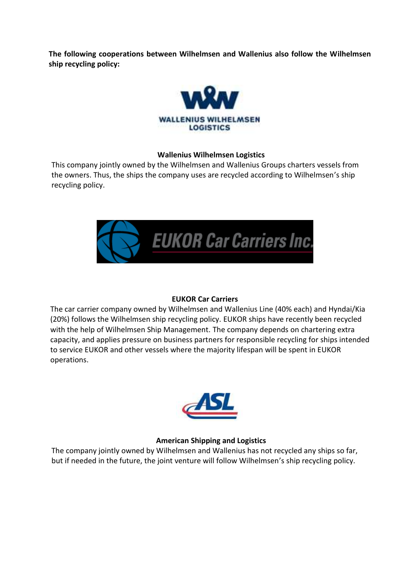**The following cooperations between Wilhelmsen and Wallenius also follow the Wilhelmsen ship recycling policy:**



# **Wallenius Wilhelmsen Logistics**

This company jointly owned by the Wilhelmsen and Wallenius Groups charters vessels from the owners. Thus, the ships the company uses are recycled according to Wilhelmsen's ship recycling policy.



# **EUKOR Car Carriers**

 The car carrier company owned by Wilhelmsen and Wallenius Line (40% each) and Hyndai/Kia (20%) follows the Wilhelmsen ship recycling policy. EUKOR ships have recently been recycled with the help of Wilhelmsen Ship Management. The company depends on chartering extra capacity, and applies pressure on business partners for responsible recycling for ships intended to service EUKOR and other vessels where the majority lifespan will be spent in EUKOR operations.



# **American Shipping and Logistics**

The company jointly owned by Wilhelmsen and Wallenius has not recycled any ships so far, but if needed in the future, the joint venture will follow Wilhelmsen's ship recycling policy.